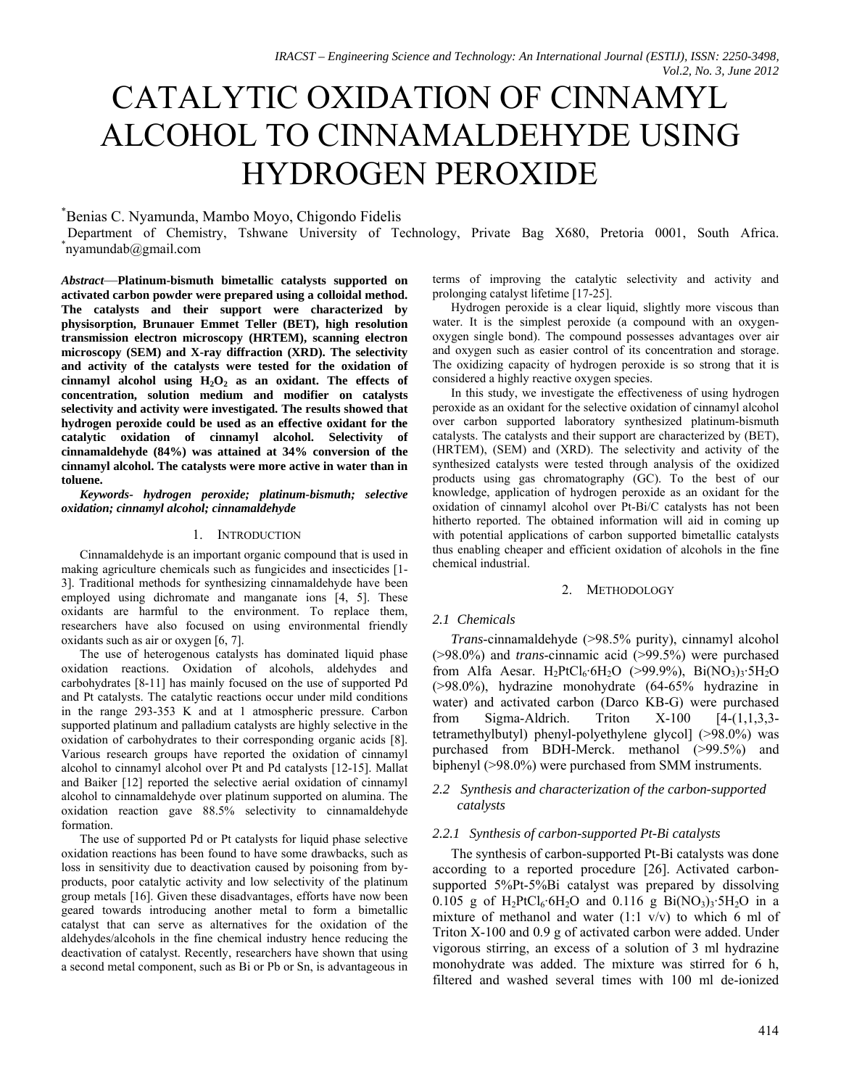# CATALYTIC OXIDATION OF CINNAMYL ALCOHOL TO CINNAMALDEHYDE USING HYDROGEN PEROXIDE

## Benias C. Nyamunda, Mambo Moyo, Chigondo Fidelis

Department of Chemistry, Tshwane University of Technology, Private Bag X680, Pretoria 0001, South Africa. \* nyamundab@gmail.com

*Abstract*—**Platinum-bismuth bimetallic catalysts supported on activated carbon powder were prepared using a colloidal method. The catalysts and their support were characterized by physisorption, Brunauer Emmet Teller (BET), high resolution transmission electron microscopy (HRTEM), scanning electron microscopy (SEM) and X-ray diffraction (XRD). The selectivity and activity of the catalysts were tested for the oxidation of**   $cinnamyl$  alcohol using  $H_2O_2$  as an oxidant. The effects of **concentration, solution medium and modifier on catalysts selectivity and activity were investigated. The results showed that hydrogen peroxide could be used as an effective oxidant for the catalytic oxidation of cinnamyl alcohol. Selectivity of cinnamaldehyde (84%) was attained at 34% conversion of the cinnamyl alcohol. The catalysts were more active in water than in toluene.** 

*Keywords- hydrogen peroxide; platinum-bismuth; selective oxidation; cinnamyl alcohol; cinnamaldehyde* 

#### 1. INTRODUCTION

Cinnamaldehyde is an important organic compound that is used in making agriculture chemicals such as fungicides and insecticides [1- 3]. Traditional methods for synthesizing cinnamaldehyde have been employed using dichromate and manganate ions [4, 5]. These oxidants are harmful to the environment. To replace them, researchers have also focused on using environmental friendly oxidants such as air or oxygen [6, 7].

The use of heterogenous catalysts has dominated liquid phase oxidation reactions. Oxidation of alcohols, aldehydes and carbohydrates [8-11] has mainly focused on the use of supported Pd and Pt catalysts. The catalytic reactions occur under mild conditions in the range 293-353 K and at 1 atmospheric pressure. Carbon supported platinum and palladium catalysts are highly selective in the oxidation of carbohydrates to their corresponding organic acids [8]. Various research groups have reported the oxidation of cinnamyl alcohol to cinnamyl alcohol over Pt and Pd catalysts [12-15]. Mallat and Baiker [12] reported the selective aerial oxidation of cinnamyl alcohol to cinnamaldehyde over platinum supported on alumina. The oxidation reaction gave 88.5% selectivity to cinnamaldehyde formation.

The use of supported Pd or Pt catalysts for liquid phase selective oxidation reactions has been found to have some drawbacks, such as loss in sensitivity due to deactivation caused by poisoning from byproducts, poor catalytic activity and low selectivity of the platinum group metals [16]. Given these disadvantages, efforts have now been geared towards introducing another metal to form a bimetallic catalyst that can serve as alternatives for the oxidation of the aldehydes/alcohols in the fine chemical industry hence reducing the deactivation of catalyst. Recently, researchers have shown that using a second metal component, such as Bi or Pb or Sn, is advantageous in terms of improving the catalytic selectivity and activity and prolonging catalyst lifetime [17-25].

Hydrogen peroxide is a clear liquid, slightly more viscous than water. It is the simplest peroxide (a compound with an oxygenoxygen single bond). The compound possesses advantages over air and oxygen such as easier control of its concentration and storage. The oxidizing capacity of hydrogen peroxide is so strong that it is considered a highly reactive oxygen species.

In this study, we investigate the effectiveness of using hydrogen peroxide as an oxidant for the selective oxidation of cinnamyl alcohol over carbon supported laboratory synthesized platinum-bismuth catalysts. The catalysts and their support are characterized by (BET), (HRTEM), (SEM) and (XRD). The selectivity and activity of the synthesized catalysts were tested through analysis of the oxidized products using gas chromatography (GC). To the best of our knowledge, application of hydrogen peroxide as an oxidant for the oxidation of cinnamyl alcohol over Pt-Bi/C catalysts has not been hitherto reported. The obtained information will aid in coming up with potential applications of carbon supported bimetallic catalysts thus enabling cheaper and efficient oxidation of alcohols in the fine chemical industrial.

#### 2. METHODOLOGY

#### *2.1 Chemicals*

*Trans*-cinnamaldehyde (>98.5% purity), cinnamyl alcohol (>98.0%) and *trans*-cinnamic acid (>99.5%) were purchased from Alfa Aesar.  $H_2PtCl_6·6H_2O$  (>99.9%), Bi(NO<sub>3</sub>)<sub>3</sub>.5H<sub>2</sub>O (>98.0%), hydrazine monohydrate (64-65% hydrazine in water) and activated carbon (Darco KB-G) were purchased from Sigma-Aldrich. Triton  $X-100$  [4- $(1,1,3,3-$ ] tetramethylbutyl) phenyl-polyethylene glycol] (>98.0%) was purchased from BDH-Merck. methanol (>99.5%) and biphenyl (>98.0%) were purchased from SMM instruments.

## *2.2 Synthesis and characterization of the carbon-supported catalysts*

#### *2.2.1 Synthesis of carbon-supported Pt-Bi catalysts*

The synthesis of carbon-supported Pt-Bi catalysts was done according to a reported procedure [26]. Activated carbonsupported 5%Pt-5%Bi catalyst was prepared by dissolving 0.105 g of  $H_2PtCl_6.6H_2O$  and 0.116 g  $Bi(NO_3)_3.5H_2O$  in a mixture of methanol and water  $(1:1 \text{ v/v})$  to which 6 ml of Triton X-100 and 0.9 g of activated carbon were added. Under vigorous stirring, an excess of a solution of 3 ml hydrazine monohydrate was added. The mixture was stirred for 6 h, filtered and washed several times with 100 ml de-ionized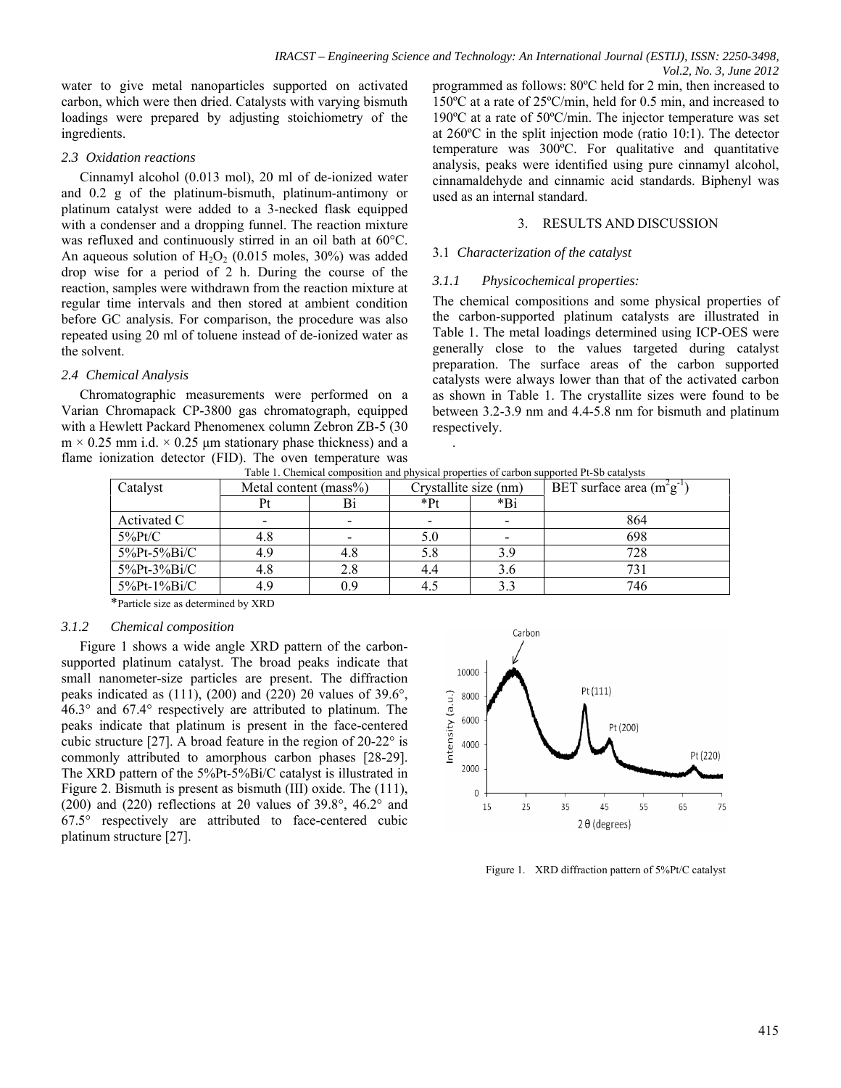water to give metal nanoparticles supported on activated carbon, which were then dried. Catalysts with varying bismuth loadings were prepared by adjusting stoichiometry of the ingredients.

## *2.3 Oxidation reactions*

Cinnamyl alcohol (0.013 mol), 20 ml of de-ionized water and 0.2 g of the platinum-bismuth, platinum-antimony or platinum catalyst were added to a 3-necked flask equipped with a condenser and a dropping funnel. The reaction mixture was refluxed and continuously stirred in an oil bath at 60°C. An aqueous solution of  $H_2O_2$  (0.015 moles, 30%) was added drop wise for a period of 2 h. During the course of the reaction, samples were withdrawn from the reaction mixture at regular time intervals and then stored at ambient condition before GC analysis. For comparison, the procedure was also repeated using 20 ml of toluene instead of de-ionized water as the solvent.

# *2.4 Chemical Analysis*

Chromatographic measurements were performed on a Varian Chromapack CP-3800 gas chromatograph, equipped with a Hewlett Packard Phenomenex column Zebron ZB-5 (30  $m \times 0.25$  mm i.d.  $\times 0.25$  µm stationary phase thickness) and a flame ionization detector (FID). The oven temperature was programmed as follows: 80ºC held for 2 min, then increased to 150ºC at a rate of 25ºC/min, held for 0.5 min, and increased to 190ºC at a rate of 50ºC/min. The injector temperature was set at 260ºC in the split injection mode (ratio 10:1). The detector temperature was 300ºC. For qualitative and quantitative analysis, peaks were identified using pure cinnamyl alcohol, cinnamaldehyde and cinnamic acid standards. Biphenyl was used as an internal standard.

# 3. RESULTS AND DISCUSSION

# 3.1 *Characterization of the catalyst*

# *3.1.1 Physicochemical properties:*

The chemical compositions and some physical properties of the carbon-supported platinum catalysts are illustrated in Table 1. The metal loadings determined using ICP-OES were generally close to the values targeted during catalyst preparation. The surface areas of the carbon supported catalysts were always lower than that of the activated carbon as shown in Table 1. The crystallite sizes were found to be between 3.2-3.9 nm and 4.4-5.8 nm for bismuth and platinum respectively.

Table 1. Chemical composition and physical properties of carbon supported Pt-Sb catalysts

.

| Catalyst    | Metal content (mass%) |     | Crystallite size (nm)    |       | BET surface area $(m^2g^{-1})$ |
|-------------|-----------------------|-----|--------------------------|-------|--------------------------------|
|             | Pt                    | Bi  | $*P_1$                   | $*Bi$ |                                |
| Activated C | -                     |     | $\overline{\phantom{0}}$ |       | 864                            |
| $5\%$ Pt/C  | 4.8                   |     | 5.0                      |       | 698                            |
| 5%Pt-5%Bi/C | 4.9                   | 4.8 | 5.8                      | 3.9   | 728                            |
| 5%Pt-3%Bi/C | 4.8                   | 2.8 | 4.4                      | 3.6   | 731                            |
| 5%Pt-1%Bi/C | 4.9                   | 0.9 | 4.5                      | 3.3   | 746                            |

\*Particle size as determined by XRD

# *3.1.2 Chemical composition*

Figure 1 shows a wide angle XRD pattern of the carbonsupported platinum catalyst. The broad peaks indicate that small nanometer-size particles are present. The diffraction peaks indicated as (111), (200) and (220) 2 $\theta$  values of 39.6°, 46.3° and 67.4° respectively are attributed to platinum. The peaks indicate that platinum is present in the face-centered cubic structure [27]. A broad feature in the region of 20-22° is commonly attributed to amorphous carbon phases [28-29]. The XRD pattern of the 5%Pt-5%Bi/C catalyst is illustrated in Figure 2. Bismuth is present as bismuth (III) oxide. The (111), (200) and (220) reflections at 2 $\theta$  values of 39.8°, 46.2° and 67.5° respectively are attributed to face-centered cubic platinum structure [27].



Figure 1. XRD diffraction pattern of 5%Pt/C catalyst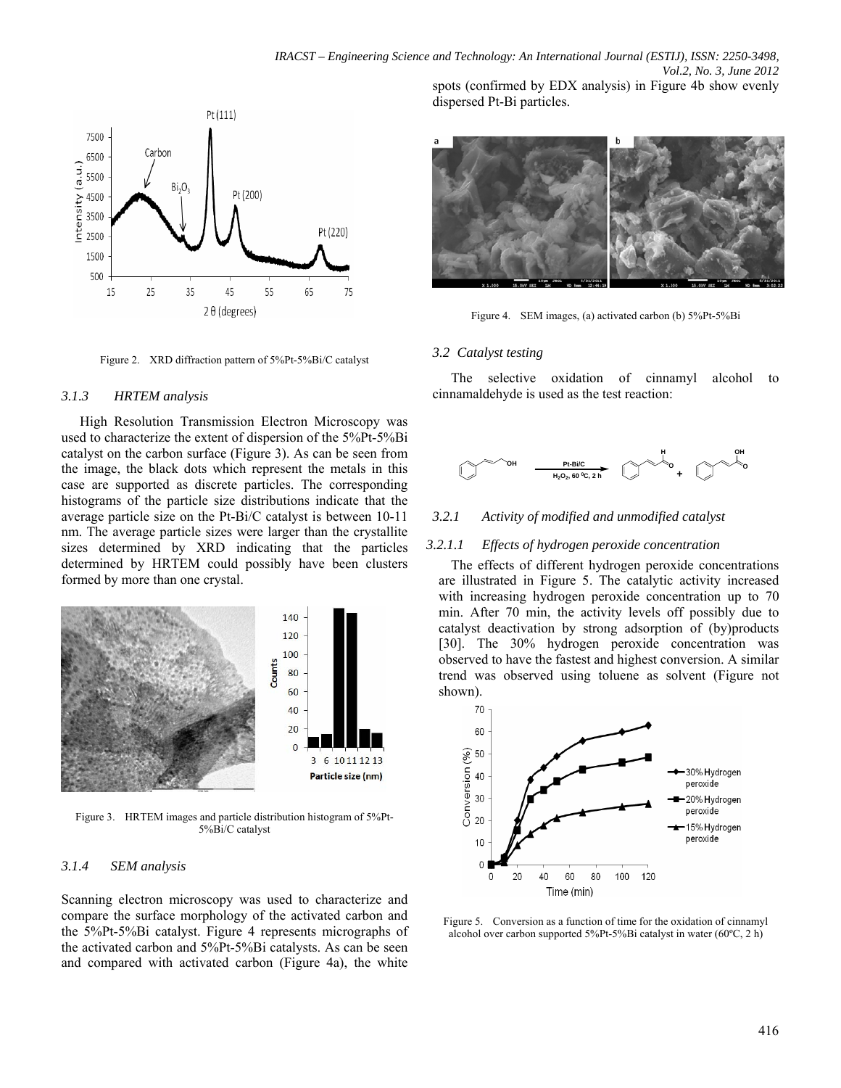

Figure 2. XRD diffraction pattern of 5%Pt-5%Bi/C catalyst

#### *3.1.3 HRTEM analysis*

High Resolution Transmission Electron Microscopy was used to characterize the extent of dispersion of the 5%Pt-5%Bi catalyst on the carbon surface (Figure 3). As can be seen from the image, the black dots which represent the metals in this case are supported as discrete particles. The corresponding histograms of the particle size distributions indicate that the average particle size on the Pt-Bi/C catalyst is between 10-11 nm. The average particle sizes were larger than the crystallite sizes determined by XRD indicating that the particles determined by HRTEM could possibly have been clusters formed by more than one crystal.



Figure 3. HRTEM images and particle distribution histogram of 5%Pt-5%Bi/C catalyst

#### *3.1.4 SEM analysis*

Scanning electron microscopy was used to characterize and compare the surface morphology of the activated carbon and the 5%Pt-5%Bi catalyst. Figure 4 represents micrographs of the activated carbon and 5%Pt-5%Bi catalysts. As can be seen and compared with activated carbon (Figure 4a), the white

dispersed Pt-Bi particles.



Figure 4. SEM images, (a) activated carbon (b) 5%Pt-5%Bi

#### *3.2 Catalyst testing*

The selective oxidation of cinnamyl alcohol to cinnamaldehyde is used as the test reaction:



*3.2.1 Activity of modified and unmodified catalyst* 

#### *3.2.1.1 Effects of hydrogen peroxide concentration*

The effects of different hydrogen peroxide concentrations are illustrated in Figure 5. The catalytic activity increased with increasing hydrogen peroxide concentration up to 70 min. After 70 min, the activity levels off possibly due to catalyst deactivation by strong adsorption of (by)products [30]. The 30% hydrogen peroxide concentration was observed to have the fastest and highest conversion. A similar trend was observed using toluene as solvent (Figure not shown).



Figure 5. Conversion as a function of time for the oxidation of cinnamyl alcohol over carbon supported 5%Pt-5%Bi catalyst in water (60ºC, 2 h)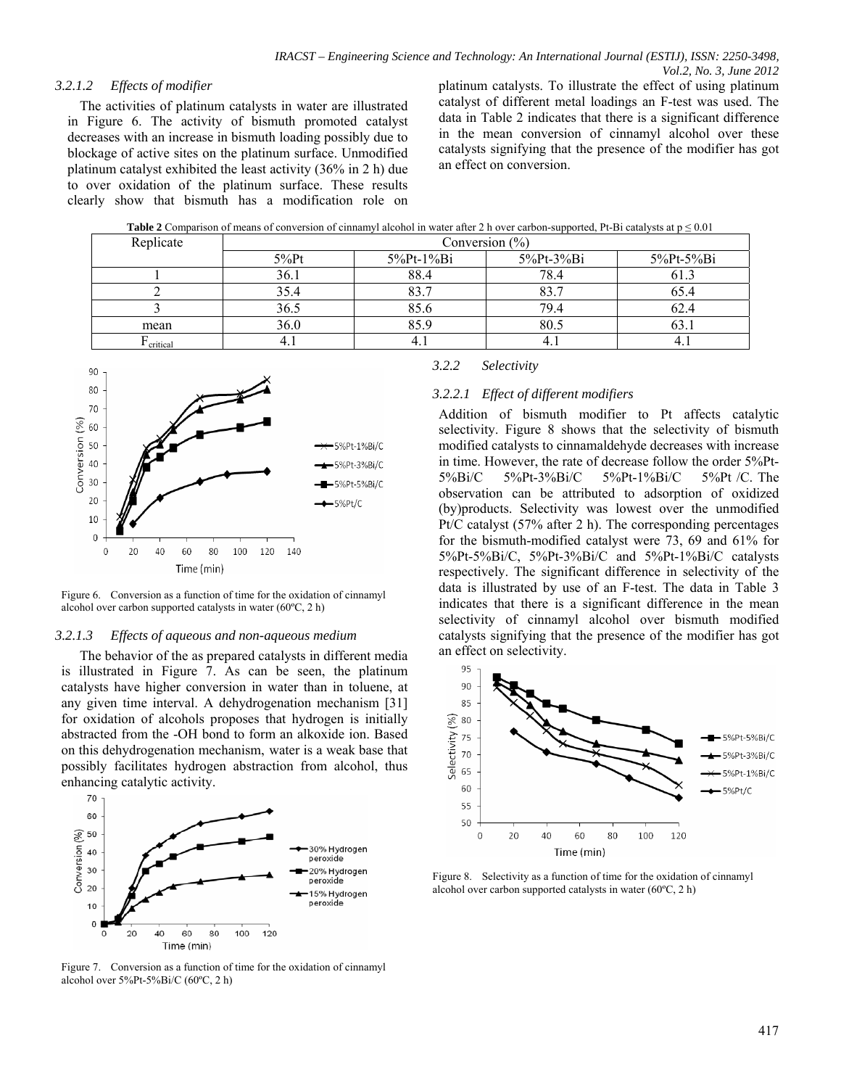## *3.2.1.2 Effects of modifier*

The activities of platinum catalysts in water are illustrated in Figure 6. The activity of bismuth promoted catalyst decreases with an increase in bismuth loading possibly due to blockage of active sites on the platinum surface. Unmodified platinum catalyst exhibited the least activity (36% in 2 h) due to over oxidation of the platinum surface. These results clearly show that bismuth has a modification role on platinum catalysts. To illustrate the effect of using platinum catalyst of different metal loadings an F-test was used. The data in Table 2 indicates that there is a significant difference in the mean conversion of cinnamyl alcohol over these catalysts signifying that the presence of the modifier has got an effect on conversion.

| Replicate | Conversion $(\%)$ |           |           |           |  |
|-----------|-------------------|-----------|-----------|-----------|--|
|           | $5%$ Pt           | 5%Pt-1%Bi | 5%Pt-3%Bi | 5%Pt-5%Bi |  |
|           | 36.1              | 88.4      | 78.4      |           |  |
|           | 35.4              |           | 83.7      |           |  |
|           | 36.5              | 85.6      | 79.4      | 02.4      |  |
| mean      | 36.0              | 85.9      | 80.5      | 0.1       |  |
| critical  | 4.1               |           | 4.1       |           |  |



Figure 6. Conversion as a function of time for the oxidation of cinnamyl alcohol over carbon supported catalysts in water (60ºC, 2 h)

#### *3.2.1.3 Effects of aqueous and non-aqueous medium*

The behavior of the as prepared catalysts in different media is illustrated in Figure 7. As can be seen, the platinum catalysts have higher conversion in water than in toluene, at any given time interval. A dehydrogenation mechanism [31] for oxidation of alcohols proposes that hydrogen is initially abstracted from the -OH bond to form an alkoxide ion. Based on this dehydrogenation mechanism, water is a weak base that possibly facilitates hydrogen abstraction from alcohol, thus enhancing catalytic activity.



alcohol over 5%Pt-5%Bi/C (60ºC, 2 h)

### *3.2.2 Selectivity*

## *3.2.2.1 Effect of different modifiers*

Addition of bismuth modifier to Pt affects catalytic selectivity. Figure 8 shows that the selectivity of bismuth modified catalysts to cinnamaldehyde decreases with increase in time. However, the rate of decrease follow the order 5%Pt-5%Bi/C 5%Pt-3%Bi/C 5%Pt-1%Bi/C 5%Pt /C. The observation can be attributed to adsorption of oxidized (by)products. Selectivity was lowest over the unmodified Pt/C catalyst (57% after 2 h). The corresponding percentages for the bismuth-modified catalyst were 73, 69 and 61% for 5%Pt-5%Bi/C, 5%Pt-3%Bi/C and 5%Pt-1%Bi/C catalysts respectively. The significant difference in selectivity of the data is illustrated by use of an F-test. The data in Table 3 indicates that there is a significant difference in the mean selectivity of cinnamyl alcohol over bismuth modified catalysts signifying that the presence of the modifier has got an effect on selectivity.



Figure 8. Selectivity as a function of time for the oxidation of cinnamyl alcohol over carbon supported catalysts in water (60ºC, 2 h)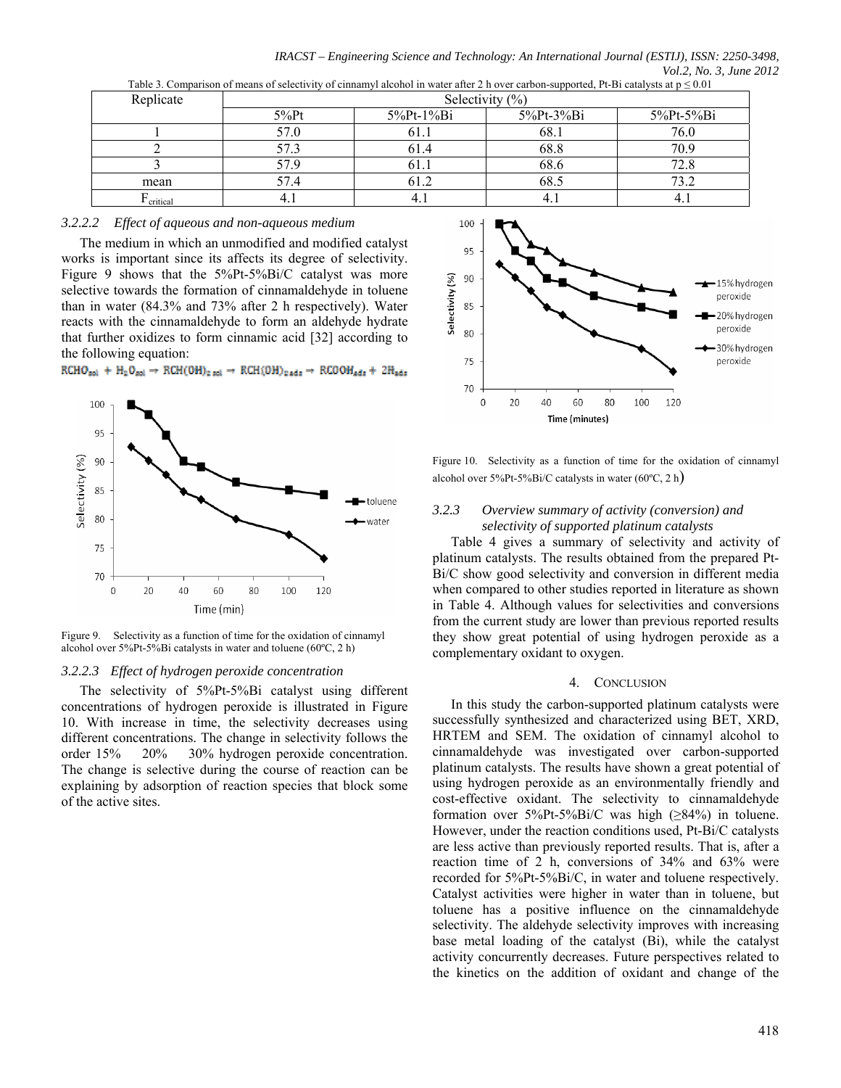| Table 3. Comparison of means of selectivity of cinnamyl alcohol in water after 2 h over carbon-supported, Pt-Bi catalysts at $p \le 0.01$ |                    |                    |               |           |  |  |
|-------------------------------------------------------------------------------------------------------------------------------------------|--------------------|--------------------|---------------|-----------|--|--|
| Replicate                                                                                                                                 | Selectivity $(\%)$ |                    |               |           |  |  |
|                                                                                                                                           | $5\%$ Pt           | $5\%$ Pt- $1\%$ Bi | $5\%$ Pt-3%Bi | 5%Pt-5%Bi |  |  |
|                                                                                                                                           | 57.0               | 61.1               | 68.1          | 76.0      |  |  |
|                                                                                                                                           | 57.3               | 61.4               | 68.8          | 70.9      |  |  |
|                                                                                                                                           | 57.9               | 61.1               | 68.6          | 72.8      |  |  |
| mean                                                                                                                                      | 57.4               | 61.2               | 68.5          | 73.2      |  |  |
| critical                                                                                                                                  |                    |                    |               |           |  |  |

*IRACST – Engineering Science and Technology: An International Journal (ESTIJ), ISSN: 2250-3498, Vol.2, No. 3, June 2012* 

### *3.2.2.2 Effect of aqueous and non-aqueous medium*

The medium in which an unmodified and modified catalyst works is important since its affects its degree of selectivity. Figure 9 shows that the 5%Pt-5%Bi/C catalyst was more selective towards the formation of cinnamaldehyde in toluene than in water (84.3% and 73% after 2 h respectively). Water reacts with the cinnamaldehyde to form an aldehyde hydrate that further oxidizes to form cinnamic acid [32] according to the following equation:

 $\text{RCHO}_{\text{sol}} + \text{H}_{2}\text{O}_{\text{sol}} \rightarrow \text{RCH}(\text{OH})_{2 \text{ sol}} \rightarrow \text{RCH}(\text{OH})_{2 \text{ ads}} \rightarrow \text{RCOOH}_{\text{ads}} + 2\text{H}_{\text{ads}}$ 



Figure 9. Selectivity as a function of time for the oxidation of cinnamyl alcohol over 5%Pt-5%Bi catalysts in water and toluene (60ºC, 2 h)

#### *3.2.2.3 Effect of hydrogen peroxide concentration*

The selectivity of 5%Pt-5%Bi catalyst using different concentrations of hydrogen peroxide is illustrated in Figure 10. With increase in time, the selectivity decreases using different concentrations. The change in selectivity follows the order 15% 20% 30% hydrogen peroxide concentration. The change is selective during the course of reaction can be explaining by adsorption of reaction species that block some of the active sites.



Figure 10. Selectivity as a function of time for the oxidation of cinnamyl alcohol over  $5\%$ Pt- $5\%$ Bi/C catalysts in water (60 $^{\circ}$ C, 2 h)

## *3.2.3 Overview summary of activity (conversion) and selectivity of supported platinum catalysts*

Table 4 gives a summary of selectivity and activity of platinum catalysts. The results obtained from the prepared Pt-Bi/C show good selectivity and conversion in different media when compared to other studies reported in literature as shown in Table 4. Although values for selectivities and conversions from the current study are lower than previous reported results they show great potential of using hydrogen peroxide as a complementary oxidant to oxygen.

#### 4. CONCLUSION

In this study the carbon-supported platinum catalysts were successfully synthesized and characterized using BET, XRD, HRTEM and SEM. The oxidation of cinnamyl alcohol to cinnamaldehyde was investigated over carbon-supported platinum catalysts. The results have shown a great potential of using hydrogen peroxide as an environmentally friendly and cost-effective oxidant. The selectivity to cinnamaldehyde formation over  $5\%$ Pt- $5\%$ Bi/C was high ( $\geq$ 84%) in toluene. However, under the reaction conditions used, Pt-Bi/C catalysts are less active than previously reported results. That is, after a reaction time of 2 h, conversions of 34% and 63% were recorded for 5%Pt-5%Bi/C, in water and toluene respectively. Catalyst activities were higher in water than in toluene, but toluene has a positive influence on the cinnamaldehyde selectivity. The aldehyde selectivity improves with increasing base metal loading of the catalyst (Bi), while the catalyst activity concurrently decreases. Future perspectives related to the kinetics on the addition of oxidant and change of the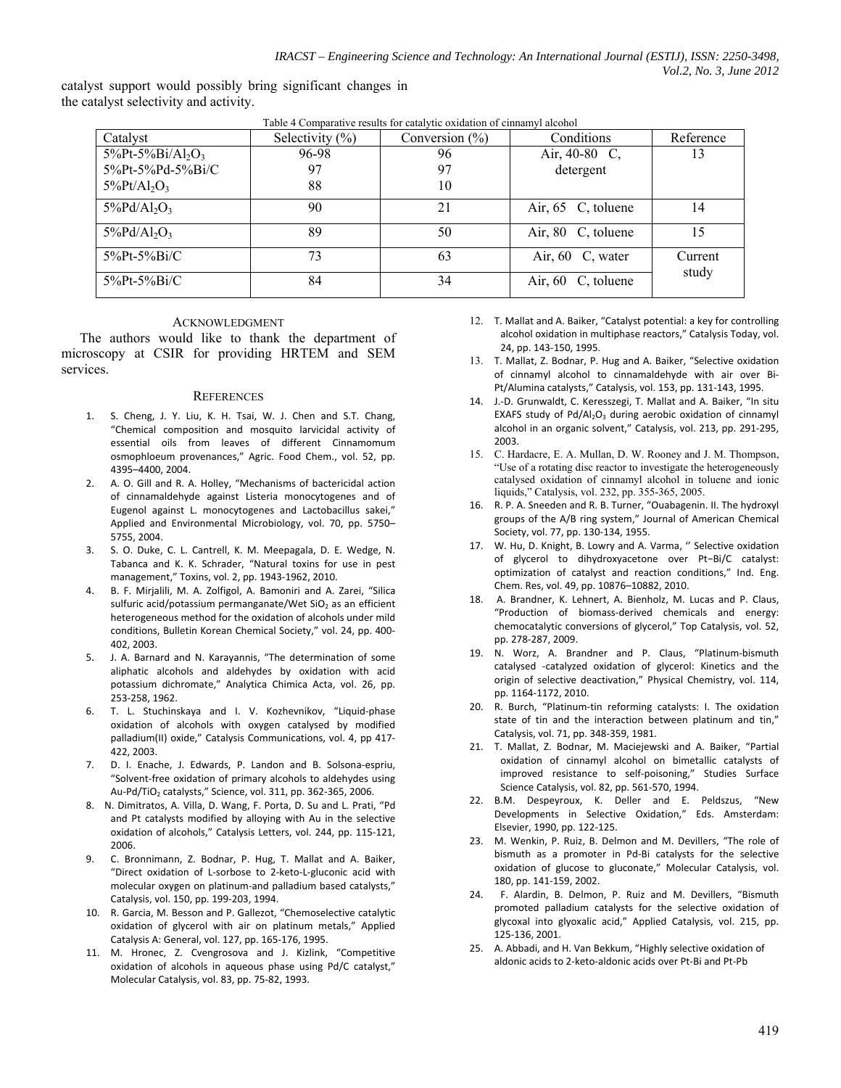catalyst support would possibly bring significant changes in the catalyst selectivity and activity.

| Catalyst                                          | Selectivity $(\% )$ | Table + Comparative results for ealitytic oxidation of chinamyl alcohol<br>Conversion $(\% )$ | Conditions            | Reference        |
|---------------------------------------------------|---------------------|-----------------------------------------------------------------------------------------------|-----------------------|------------------|
| $5\%$ Pt- $5\%$ Bi/Al <sub>2</sub> O <sub>3</sub> | 96-98               | 96                                                                                            | Air, 40-80 C,         | 13               |
| 5%Pt-5%Pd-5%Bi/C                                  | 97                  | 97                                                                                            | detergent             |                  |
| $5\%$ Pt/Al <sub>2</sub> O <sub>3</sub>           | 88                  | 10                                                                                            |                       |                  |
| $5\%Pd/Al_2O_3$                                   | 90                  | 21                                                                                            | Air, 65 C, toluene    | 14               |
| $5\%Pd/Al_2O_3$                                   | 89                  | 50                                                                                            | Air, 80 C, toluene    | 15               |
| $5\%$ Pt- $5\%$ Bi/C                              | 73                  | 63                                                                                            | Air, 60 C, water      | Current<br>study |
| $5\%$ Pt- $5\%$ Bi/C                              | 84                  | 34                                                                                            | C, toluene<br>Air, 60 |                  |

Table 4 Comparative results for catalytic oxidation of cinnamyl alcohol

### ACKNOWLEDGMENT

The authors would like to thank the department of microscopy at CSIR for providing HRTEM and SEM services.

#### **REFERENCES**

- S. Cheng, J. Y. Liu, K. H. Tsai, W. J. Chen and S.T. Chang, "Chemical composition and mosquito larvicidal activity of essential oils from leaves of different Cinnamomum osmophloeum provenances," Agric. Food Chem., vol. 52, pp. 4395–4400, 2004.
- 2. A. O. Gill and R. A. Holley, "Mechanisms of bactericidal action of cinnamaldehyde against Listeria monocytogenes and of Eugenol against L. monocytogenes and Lactobacillus sakei," Applied and Environmental Microbiology, vol. 70, pp. 5750– 5755, 2004.
- 3. S. O. Duke, C. L. Cantrell, K. M. Meepagala, D. E. Wedge, N. Tabanca and K. K. Schrader, "Natural toxins for use in pest management," Toxins, vol. 2, pp. 1943‐1962, 2010.
- 4. B. F. Mirjalili, M. A. Zolfigol, A. Bamoniri and A. Zarei, "Silica sulfuric acid/potassium permanganate/Wet SiO<sub>2</sub> as an efficient heterogeneous method for the oxidation of alcohols under mild conditions, Bulletin Korean Chemical Society," vol. 24, pp. 400‐ 402, 2003.
- 5. J. A. Barnard and N. Karayannis, "The determination of some aliphatic alcohols and aldehydes by oxidation with acid potassium dichromate," Analytica Chimica Acta, vol. 26, pp. 253‐258, 1962.
- 6. T. L. Stuchinskaya and I. V. Kozhevnikov, "Liquid‐phase oxidation of alcohols with oxygen catalysed by modified palladium(II) oxide," Catalysis Communications, vol. 4, pp 417-422, 2003.
- 7. D. I. Enache, J. Edwards, P. Landon and B. Solsona‐espriu, "Solvent‐free oxidation of primary alcohols to aldehydes using Au-Pd/TiO<sub>2</sub> catalysts," Science, vol. 311, pp. 362-365, 2006.
- 8. N. Dimitratos, A. Villa, D. Wang, F. Porta, D. Su and L. Prati, "Pd and Pt catalysts modified by alloying with Au in the selective oxidation of alcohols," Catalysis Letters, vol. 244, pp. 115‐121, 2006.
- 9. C. Bronnimann, Z. Bodnar, P. Hug, T. Mallat and A. Baiker, "Direct oxidation of L‐sorbose to 2‐keto‐L‐gluconic acid with molecular oxygen on platinum‐and palladium based catalysts," Catalysis, vol. 150, pp. 199‐203, 1994.
- 10. R. Garcia, M. Besson and P. Gallezot, "Chemoselective catalytic oxidation of glycerol with air on platinum metals," Applied Catalysis A: General, vol. 127, pp. 165‐176, 1995.
- 11. M. Hronec, Z. Cvengrosova and J. Kizlink, "Competitive oxidation of alcohols in aqueous phase using Pd/C catalyst," Molecular Catalysis, vol. 83, pp. 75‐82, 1993.
- 12. T. Mallat and A. Baiker, "Catalyst potential: a key for controlling alcohol oxidation in multiphase reactors," Catalysis Today, vol. 24, pp. 143‐150, 1995.
- 13. T. Mallat, Z. Bodnar, P. Hug and A. Baiker, "Selective oxidation of cinnamyl alcohol to cinnamaldehyde with air over Bi‐ Pt/Alumina catalysts," Catalysis, vol. 153, pp. 131‐143, 1995.
- 14. J.-D. Grunwaldt, C. Keresszegi, T. Mallat and A. Baiker, "In situ EXAFS study of  $Pd/Al_2O_3$  during aerobic oxidation of cinnamyl alcohol in an organic solvent," Catalysis, vol. 213, pp. 291‐295, 2003.
- 15. C. Hardacre, E. A. Mullan, D. W. Rooney and J. M. Thompson, "Use of a rotating disc reactor to investigate the heterogeneously catalysed oxidation of cinnamyl alcohol in toluene and ionic liquids," Catalysis, vol. 232, pp. 355-365, 2005.
- 16. R. P. A. Sneeden and R. B. Turner, "Ouabagenin. II. The hydroxyl groups of the A/B ring system," Journal of American Chemical Society, vol. 77, pp. 130‐134, 1955.
- 17. W. Hu, D. Knight, B. Lowry and A. Varma, '' Selective oxidation of glycerol to dihydroxyacetone over Pt−Bi/C catalyst: optimization of catalyst and reaction conditions," Ind. Eng. Chem. Res, vol. 49, pp. 10876–10882, 2010.
- 18. A. Brandner, K. Lehnert, A. Bienholz, M. Lucas and P. Claus, "Production of biomass‐derived chemicals and energy: chemocatalytic conversions of glycerol," Top Catalysis, vol. 52, pp. 278‐287, 2009.
- 19. N. Worz, A. Brandner and P. Claus, "Platinum‐bismuth catalysed -catalyzed oxidation of glycerol: Kinetics and the origin of selective deactivation," Physical Chemistry, vol. 114, pp. 1164‐1172, 2010.
- 20. R. Burch, "Platinum-tin reforming catalysts: I. The oxidation state of tin and the interaction between platinum and tin," Catalysis, vol. 71, pp. 348‐359, 1981.
- 21. T. Mallat, Z. Bodnar, M. Maciejewski and A. Baiker, "Partial oxidation of cinnamyl alcohol on bimetallic catalysts of improved resistance to self-poisoning," Studies Surface Science Catalysis, vol. 82, pp. 561‐570, 1994.
- 22. B.M. Despeyroux, K. Deller and E. Peldszus, "New Developments in Selective Oxidation," Eds. Amsterdam: Elsevier, 1990, pp. 122‐125.
- 23. M. Wenkin, P. Ruiz, B. Delmon and M. Devillers, "The role of bismuth as a promoter in Pd‐Bi catalysts for the selective oxidation of glucose to gluconate," Molecular Catalysis, vol. 180, pp. 141‐159, 2002.
- 24. F. Alardin, B. Delmon, P. Ruiz and M. Devillers, "Bismuth promoted palladium catalysts for the selective oxidation of glycoxal into glyoxalic acid," Applied Catalysis, vol. 215, pp. 125‐136, 2001.
- 25. A. Abbadi, and H. Van Bekkum, "Highly selective oxidation of aldonic acids to 2‐keto‐aldonic acids over Pt‐Bi and Pt‐Pb